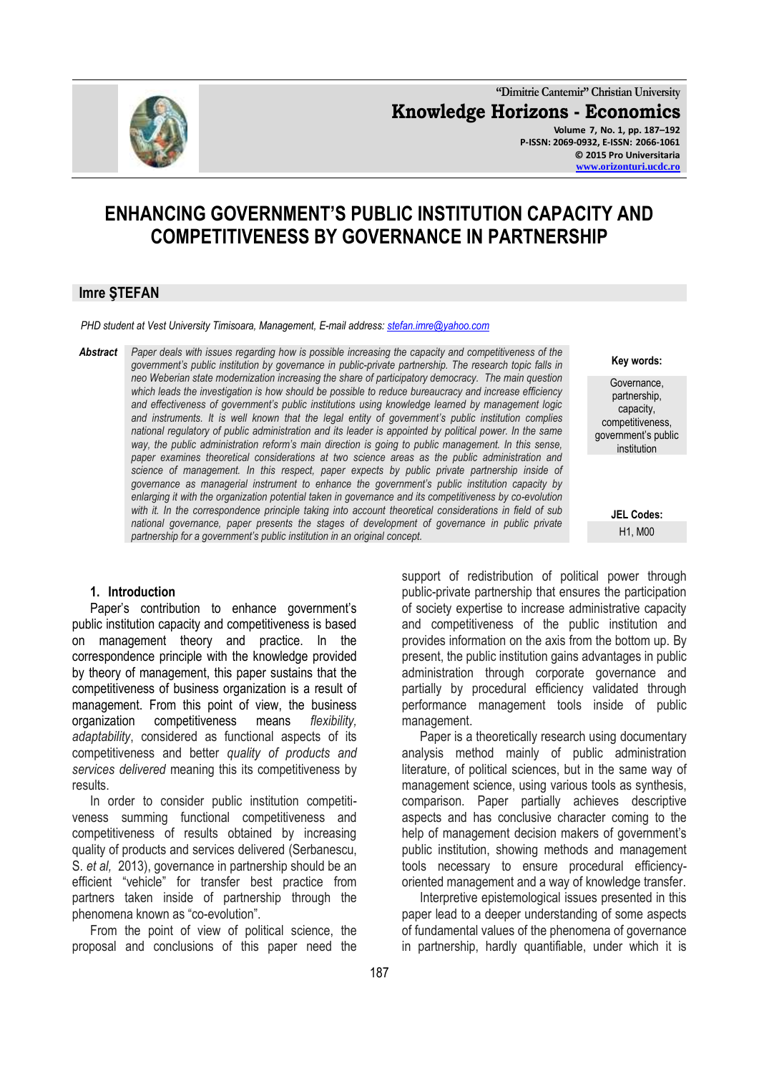

**"Dimitrie Cantemir" Christian University Knowledge Horizons - Economics Volume 7, No. 1, pp. 187–192 P-ISSN: 2069-0932, E-ISSN: 2066-1061 © 2015 Pro Universitaria [www.orizonturi.ucdc.ro](http://www.orizonturi.ucdc.ro/)**

> **Key words:** Governance, partnership, capacity, competitiveness, government's public institution

> > **JEL Codes:** H1, M00

# **ENHANCING GOVERNMENT'S PUBLIC INSTITUTION CAPACITY AND COMPETITIVENESS BY GOVERNANCE IN PARTNERSHIP**

#### **Imre ŞTEFAN**

*PHD student at Vest University Timisoara, Management, E-mail address: [stefan.imre@yahoo.com](mailto:stefan.imre@yahoo.com)* 

*Abstract Paper deals with issues regarding how is possible increasing the capacity and competitiveness of the government's public institution by governance in public-private partnership. The research topic falls in neo Weberian state modernization increasing the share of participatory democracy. The main question which leads the investigation is how should be possible to reduce bureaucracy and increase efficiency and effectiveness of government's public institutions using knowledge learned by management logic and instruments. It is well known that the legal entity of government's public institution complies national regulatory of public administration and its leader is appointed by political power. In the same way, the public administration reform's main direction is going to public management. In this sense, paper examines theoretical considerations at two science areas as the public administration and science of management. In this respect, paper expects by public private partnership inside of governance as managerial instrument to enhance the government's public institution capacity by enlarging it with the organization potential taken in governance and its competitiveness by co-evolution with it. In the correspondence principle taking into account theoretical considerations in field of sub national governance, paper presents the stages of development of governance in public private partnership for a government's public institution in an original concept.* 

#### **1. Introduction**

Paper's contribution to enhance government's public institution capacity and competitiveness is based on management theory and practice. In the correspondence principle with the knowledge provided by theory of management, this paper sustains that the competitiveness of business organization is a result of management. From this point of view, the business organization competitiveness means *flexibility, adaptability*, considered as functional aspects of its competitiveness and better *quality of products and services delivered* meaning this its competitiveness by results.

In order to consider public institution competitiveness summing functional competitiveness and competitiveness of results obtained by increasing quality of products and services delivered (Serbanescu, S. *et al,* 2013), governance in partnership should be an efficient "vehicle" for transfer best practice from partners taken inside of partnership through the phenomena known as "co-evolution".

From the point of view of political science, the proposal and conclusions of this paper need the support of redistribution of political power through public-private partnership that ensures the participation of society expertise to increase administrative capacity and competitiveness of the public institution and provides information on the axis from the bottom up. By present, the public institution gains advantages in public administration through corporate governance and partially by procedural efficiency validated through performance management tools inside of public management.

Paper is a theoretically research using documentary analysis method mainly of public administration literature, of political sciences, but in the same way of management science, using various tools as synthesis, comparison. Paper partially achieves descriptive aspects and has conclusive character coming to the help of management decision makers of government's public institution, showing methods and management tools necessary to ensure procedural efficiencyoriented management and a way of knowledge transfer.

Interpretive epistemological issues presented in this paper lead to a deeper understanding of some aspects of fundamental values of the phenomena of governance in partnership, hardly quantifiable, under which it is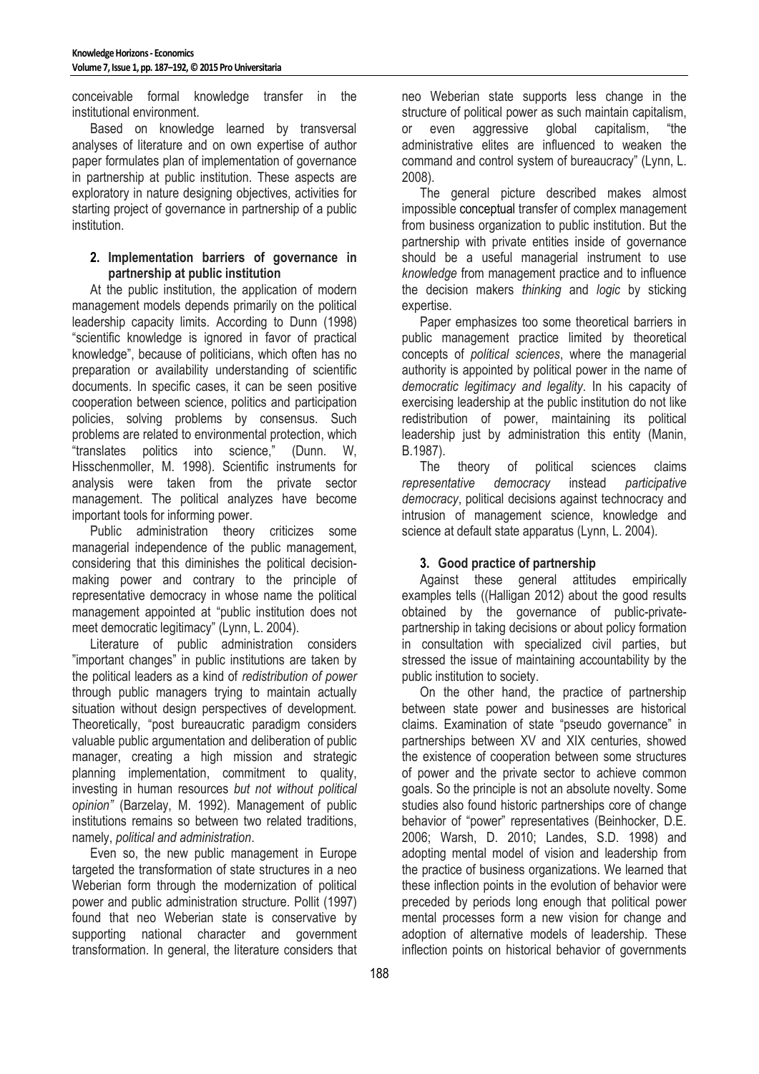conceivable formal knowledge transfer in the institutional environment.

Based on knowledge learned by transversal analyses of literature and on own expertise of author paper formulates plan of implementation of governance in partnership at public institution. These aspects are exploratory in nature designing objectives, activities for starting project of governance in partnership of a public institution.

## **2. Implementation barriers of governance in partnership at public institution**

At the public institution, the application of modern management models depends primarily on the political leadership capacity limits. According to Dunn (1998) "scientific knowledge is ignored in favor of practical knowledge", because of politicians, which often has no preparation or availability understanding of scientific documents. In specific cases, it can be seen positive cooperation between science, politics and participation policies, solving problems by consensus. Such problems are related to environmental protection, which "translates politics into science," (Dunn. W, Hisschenmoller, M. 1998). Scientific instruments for analysis were taken from the private sector management. The political analyzes have become important tools for informing power.

Public administration theory criticizes some managerial independence of the public management, considering that this diminishes the political decisionmaking power and contrary to the principle of representative democracy in whose name the political management appointed at "public institution does not meet democratic legitimacy" (Lynn, L. 2004).

Literature of public administration considers "important changes" in public institutions are taken by the political leaders as a kind of *redistribution of power* through public managers trying to maintain actually situation without design perspectives of development. Theoretically, "post bureaucratic paradigm considers valuable public argumentation and deliberation of public manager, creating a high mission and strategic planning implementation, commitment to quality, investing in human resources *but not without political opinion"* (Barzelay, M. 1992). Management of public institutions remains so between two related traditions, namely, *political and administration*.

Even so, the new public management in Europe targeted the transformation of state structures in a neo Weberian form through the modernization of political power and public administration structure. Pollit (1997) found that neo Weberian state is conservative by supporting national character and government transformation. In general, the literature considers that neo Weberian state supports less change in the structure of political power as such maintain capitalism, or even aggressive global capitalism, "the administrative elites are influenced to weaken the command and control system of bureaucracy" (Lynn, L. 2008).

The general picture described makes almost impossible conceptual transfer of complex management from business organization to public institution. But the partnership with private entities inside of governance should be a useful managerial instrument to use *knowledge* from management practice and to influence the decision makers *thinking* and *logic* by sticking expertise.

Paper emphasizes too some theoretical barriers in public management practice limited by theoretical concepts of *political sciences*, where the managerial authority is appointed by political power in the name of *democratic legitimacy and legality*. In his capacity of exercising leadership at the public institution do not like redistribution of power, maintaining its political leadership just by administration this entity (Manin, B.1987).

The theory of political sciences claims *representative democracy* instead *participative democracy*, political decisions against technocracy and intrusion of management science, knowledge and science at default state apparatus (Lynn, L. 2004).

## **3. Good practice of partnership**

Against these general attitudes empirically examples tells ((Halligan 2012) about the good results obtained by the governance of public-privatepartnership in taking decisions or about policy formation in consultation with specialized civil parties, but stressed the issue of maintaining accountability by the public institution to society.

On the other hand, the practice of partnership between state power and businesses are historical claims. Examination of state "pseudo governance" in partnerships between XV and XIX centuries, showed the existence of cooperation between some structures of power and the private sector to achieve common goals. So the principle is not an absolute novelty. Some studies also found historic partnerships core of change behavior of "power" representatives (Beinhocker, D.E. 2006; Warsh, D. 2010; Landes, S.D. 1998) and adopting mental model of vision and leadership from the practice of business organizations. We learned that these inflection points in the evolution of behavior were preceded by periods long enough that political power mental processes form a new vision for change and adoption of alternative models of leadership. These inflection points on historical behavior of governments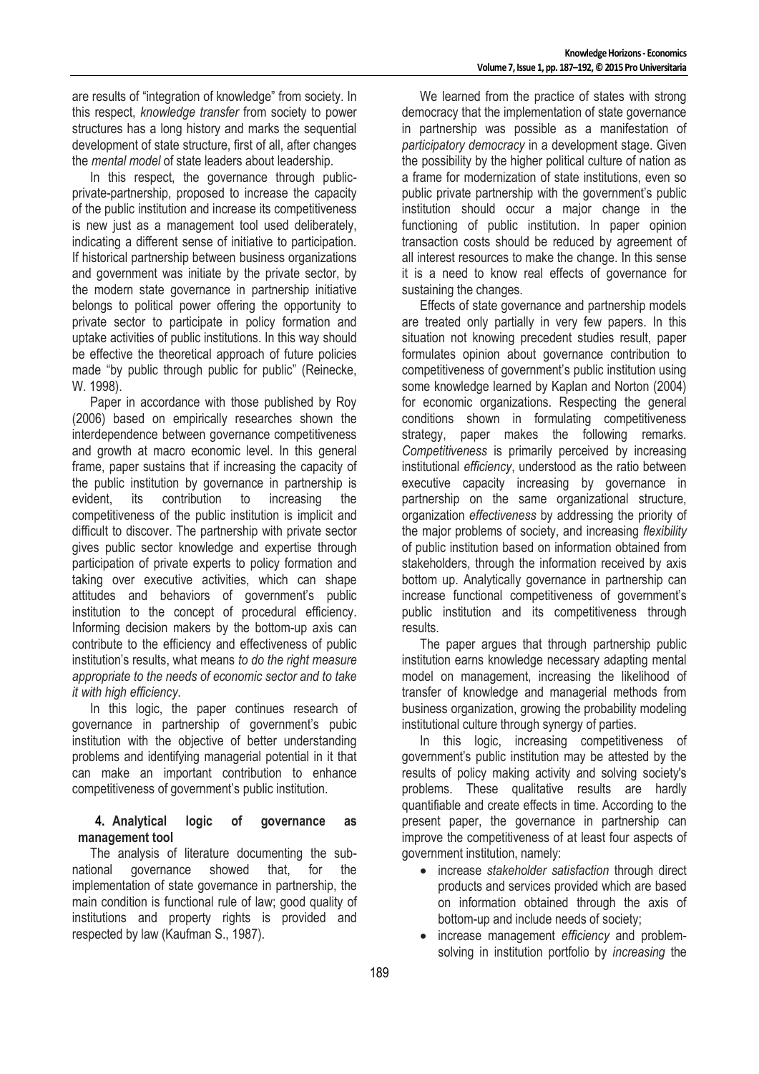are results of "integration of knowledge" from society. In this respect, *knowledge transfer* from society to power structures has a long history and marks the sequential development of state structure, first of all, after changes the *mental model* of state leaders about leadership.

In this respect, the governance through publicprivate-partnership, proposed to increase the capacity of the public institution and increase its competitiveness is new just as a management tool used deliberately, indicating a different sense of initiative to participation. If historical partnership between business organizations and government was initiate by the private sector, by the modern state governance in partnership initiative belongs to political power offering the opportunity to private sector to participate in policy formation and uptake activities of public institutions. In this way should be effective the theoretical approach of future policies made "by public through public for public" (Reinecke, W. 1998).

Paper in accordance with those published by Roy (2006) based on empirically researches shown the interdependence between governance competitiveness and growth at macro economic level. In this general frame, paper sustains that if increasing the capacity of the public institution by governance in partnership is evident, its contribution to increasing the competitiveness of the public institution is implicit and difficult to discover. The partnership with private sector gives public sector knowledge and expertise through participation of private experts to policy formation and taking over executive activities, which can shape attitudes and behaviors of government's public institution to the concept of procedural efficiency. Informing decision makers by the bottom-up axis can contribute to the efficiency and effectiveness of public institution's results, what means *to do the right measure appropriate to the needs of economic sector and to take it with high efficiency*.

In this logic, the paper continues research of governance in partnership of government's pubic institution with the objective of better understanding problems and identifying managerial potential in it that can make an important contribution to enhance competitiveness of government's public institution.

### **4. Analytical logic of governance as management tool**

The analysis of literature documenting the subnational governance showed that, for the implementation of state governance in partnership, the main condition is functional rule of law; good quality of institutions and property rights is provided and respected by law (Kaufman S., 1987).

We learned from the practice of states with strong democracy that the implementation of state governance in partnership was possible as a manifestation of *participatory democracy* in a development stage. Given the possibility by the higher political culture of nation as a frame for modernization of state institutions, even so public private partnership with the government's public institution should occur a major change in the functioning of public institution. In paper opinion transaction costs should be reduced by agreement of all interest resources to make the change. In this sense it is a need to know real effects of governance for sustaining the changes.

Effects of state governance and partnership models are treated only partially in very few papers. In this situation not knowing precedent studies result, paper formulates opinion about governance contribution to competitiveness of government's public institution using some knowledge learned by Kaplan and Norton (2004) for economic organizations. Respecting the general conditions shown in formulating competitiveness strategy, paper makes the following remarks. *Competitiveness* is primarily perceived by increasing institutional *efficiency*, understood as the ratio between executive capacity increasing by governance in partnership on the same organizational structure, organization *effectiveness* by addressing the priority of the major problems of society, and increasing *flexibility* of public institution based on information obtained from stakeholders, through the information received by axis bottom up. Analytically governance in partnership can increase functional competitiveness of government's public institution and its competitiveness through results.

The paper argues that through partnership public institution earns knowledge necessary adapting mental model on management, increasing the likelihood of transfer of knowledge and managerial methods from business organization, growing the probability modeling institutional culture through synergy of parties.

In this logic, increasing competitiveness of government's public institution may be attested by the results of policy making activity and solving society's problems. These qualitative results are hardly quantifiable and create effects in time. According to the present paper, the governance in partnership can improve the competitiveness of at least four aspects of government institution, namely:

- increase *stakeholder satisfaction* through direct products and services provided which are based on information obtained through the axis of bottom-up and include needs of society;
- increase management *efficiency* and problemsolving in institution portfolio by *increasing* the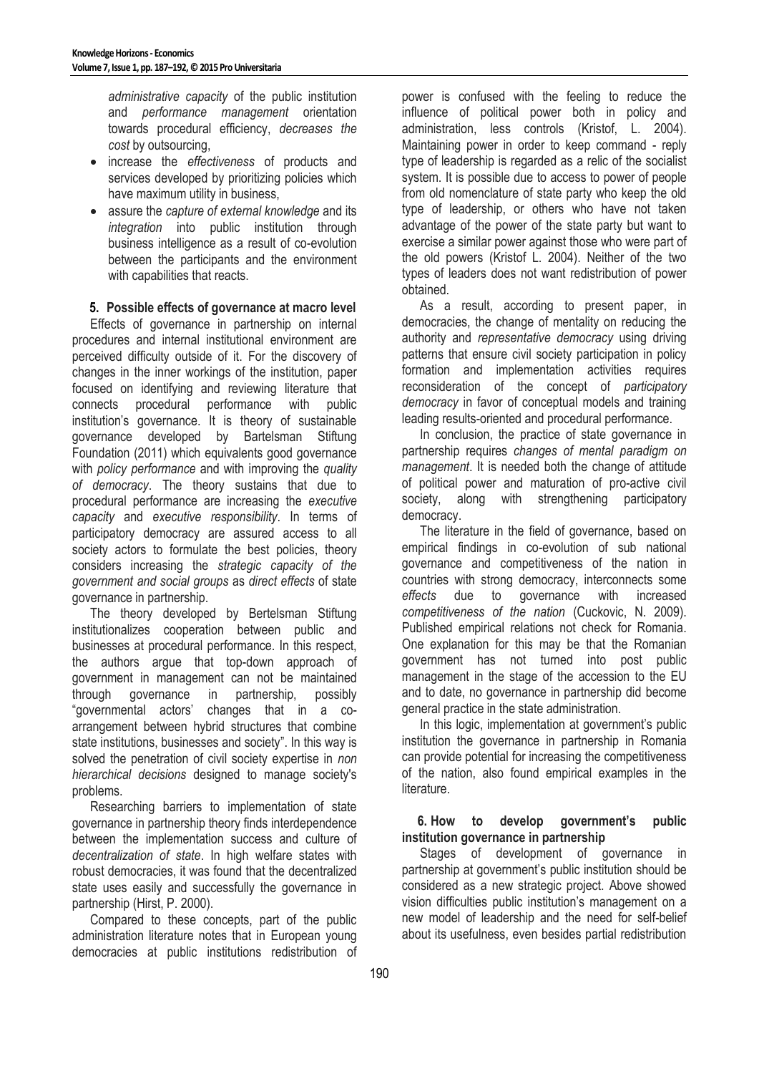*administrative capacity* of the public institution and *performance management* orientation towards procedural efficiency, *decreases the cost* by outsourcing,

- increase the *effectiveness* of products and services developed by prioritizing policies which have maximum utility in business,
- assure the *capture of external knowledge* and its *integration* into public institution through business intelligence as a result of co-evolution between the participants and the environment with capabilities that reacts.

## **5. Possible effects of governance at macro level**

Effects of governance in partnership on internal procedures and internal institutional environment are perceived difficulty outside of it. For the discovery of changes in the inner workings of the institution, paper focused on identifying and reviewing literature that connects procedural performance with public institution's governance. It is theory of sustainable governance developed by Bartelsman Stiftung Foundation (2011) which equivalents good governance with *policy performance* and with improving the *quality of democracy*. The theory sustains that due to procedural performance are increasing the *executive capacity* and *executive responsibility*. In terms of participatory democracy are assured access to all society actors to formulate the best policies, theory considers increasing the *strategic capacity of the government and social groups* as *direct effects* of state governance in partnership.

The theory developed by Bertelsman Stiftung institutionalizes cooperation between public and businesses at procedural performance. In this respect, the authors argue that top-down approach of government in management can not be maintained through governance in partnership, possibly "governmental actors' changes that in a coarrangement between hybrid structures that combine state institutions, businesses and society". In this way is solved the penetration of civil society expertise in *non hierarchical decisions* designed to manage society's problems.

Researching barriers to implementation of state governance in partnership theory finds interdependence between the implementation success and culture of *decentralization of state*. In high welfare states with robust democracies, it was found that the decentralized state uses easily and successfully the governance in partnership (Hirst, P. 2000).

Compared to these concepts, part of the public administration literature notes that in European young democracies at public institutions redistribution of power is confused with the feeling to reduce the influence of political power both in policy and administration, less controls (Kristof, L. 2004). Maintaining power in order to keep command - reply type of leadership is regarded as a relic of the socialist system. It is possible due to access to power of people from old nomenclature of state party who keep the old type of leadership, or others who have not taken advantage of the power of the state party but want to exercise a similar power against those who were part of the old powers (Kristof L. 2004). Neither of the two types of leaders does not want redistribution of power obtained.

As a result, according to present paper, in democracies, the change of mentality on reducing the authority and *representative democracy* using driving patterns that ensure civil society participation in policy formation and implementation activities requires reconsideration of the concept of *participatory democracy* in favor of conceptual models and training leading results-oriented and procedural performance.

In conclusion, the practice of state governance in partnership requires *changes of mental paradigm on management*. It is needed both the change of attitude of political power and maturation of pro-active civil society, along with strengthening participatory democracy.

The literature in the field of governance, based on empirical findings in co-evolution of sub national governance and competitiveness of the nation in countries with strong democracy, interconnects some *effects* due to governance with increased *competitiveness of the nation* (Cuckovic, N. 2009). Published empirical relations not check for Romania. One explanation for this may be that the Romanian government has not turned into post public management in the stage of the accession to the EU and to date, no governance in partnership did become general practice in the state administration.

In this logic, implementation at government's public institution the governance in partnership in Romania can provide potential for increasing the competitiveness of the nation, also found empirical examples in the literature.

#### **6. How to develop government's public institution governance in partnership**

Stages of development of governance in partnership at government's public institution should be considered as a new strategic project. Above showed vision difficulties public institution's management on a new model of leadership and the need for self-belief about its usefulness, even besides partial redistribution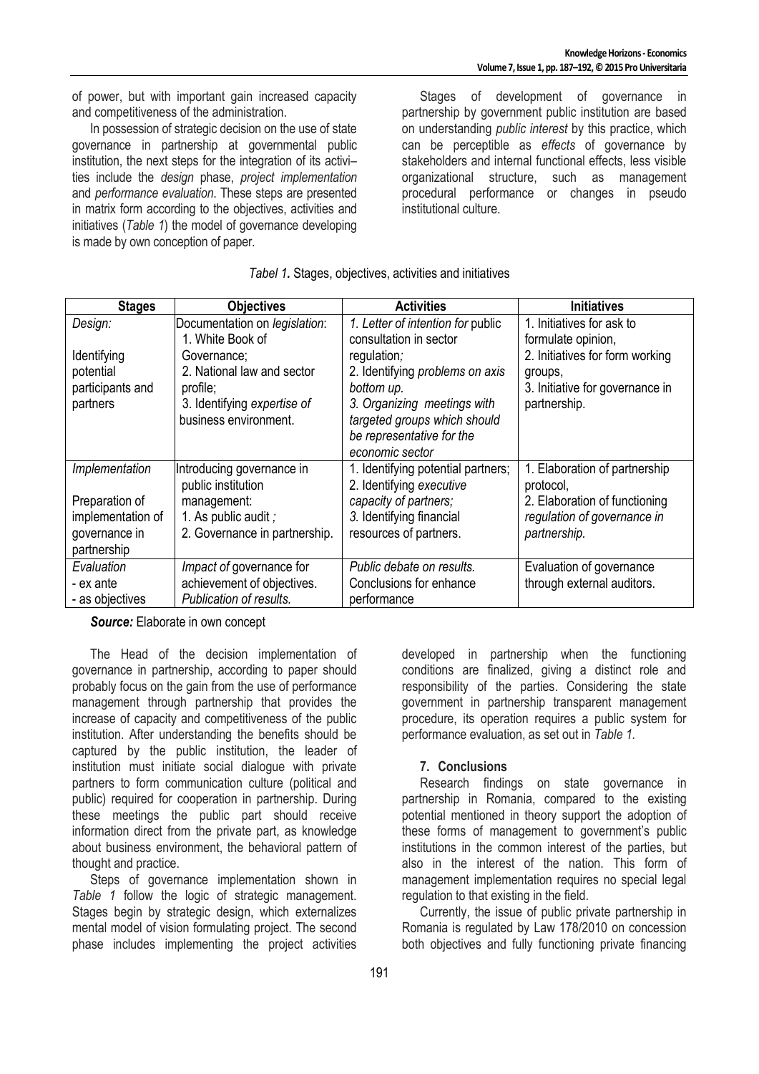of power, but with important gain increased capacity and competitiveness of the administration.

In possession of strategic decision on the use of state governance in partnership at governmental public institution, the next steps for the integration of its activi– ties include the *design* phase, *project implementation* and *performance evaluation*. These steps are presented in matrix form according to the objectives, activities and initiatives (*Table 1*) the model of governance developing is made by own conception of paper.

Stages of development of governance in partnership by government public institution are based on understanding *public interest* by this practice, which can be perceptible as *effects* of governance by stakeholders and internal functional effects, less visible organizational structure, such as management procedural performance or changes in pseudo institutional culture.

| <b>Stages</b>     | <b>Objectives</b>             | <b>Activities</b>                  | <b>Initiatives</b>              |
|-------------------|-------------------------------|------------------------------------|---------------------------------|
| Design:           | Documentation on legislation: | 1. Letter of intention for public  | 1. Initiatives for ask to       |
|                   | 1. White Book of              | consultation in sector             | formulate opinion,              |
| Identifying       | Governance;                   | regulation;                        | 2. Initiatives for form working |
| potential         | 2. National law and sector    | 2. Identifying problems on axis    | groups,                         |
| participants and  | profile;                      | bottom up.                         | 3. Initiative for governance in |
| partners          | 3. Identifying expertise of   | 3. Organizing meetings with        | partnership.                    |
|                   | business environment.         | targeted groups which should       |                                 |
|                   |                               | be representative for the          |                                 |
|                   |                               | economic sector                    |                                 |
| Implementation    | Introducing governance in     | 1. Identifying potential partners; | 1. Elaboration of partnership   |
|                   | public institution            | 2. Identifying executive           | protocol,                       |
| Preparation of    | management:                   | capacity of partners;              | 2. Elaboration of functioning   |
| implementation of | 1. As public audit ;          | 3. Identifying financial           | regulation of governance in     |
| governance in     | 2. Governance in partnership. | resources of partners.             | partnership.                    |
| partnership       |                               |                                    |                                 |
| Evaluation        | Impact of governance for      | Public debate on results.          | Evaluation of governance        |
| - ex ante         | achievement of objectives.    | Conclusions for enhance            | through external auditors.      |
| - as objectives   | Publication of results.       | performance                        |                                 |

*Tabel 1.* Stages, objectives, activities and initiatives

*Source:* Elaborate in own concept

The Head of the decision implementation of governance in partnership, according to paper should probably focus on the gain from the use of performance management through partnership that provides the increase of capacity and competitiveness of the public institution. After understanding the benefits should be captured by the public institution, the leader of institution must initiate social dialogue with private partners to form communication culture (political and public) required for cooperation in partnership. During these meetings the public part should receive information direct from the private part, as knowledge about business environment, the behavioral pattern of thought and practice.

Steps of governance implementation shown in *Table 1* follow the logic of strategic management. Stages begin by strategic design, which externalizes mental model of vision formulating project. The second phase includes implementing the project activities

developed in partnership when the functioning conditions are finalized, giving a distinct role and responsibility of the parties. Considering the state government in partnership transparent management procedure, its operation requires a public system for performance evaluation, as set out in *Table 1.*

## **7. Conclusions**

Research findings on state governance in partnership in Romania, compared to the existing potential mentioned in theory support the adoption of these forms of management to government's public institutions in the common interest of the parties, but also in the interest of the nation. This form of management implementation requires no special legal regulation to that existing in the field.

Currently, the issue of public private partnership in Romania is regulated by Law 178/2010 on concession both objectives and fully functioning private financing